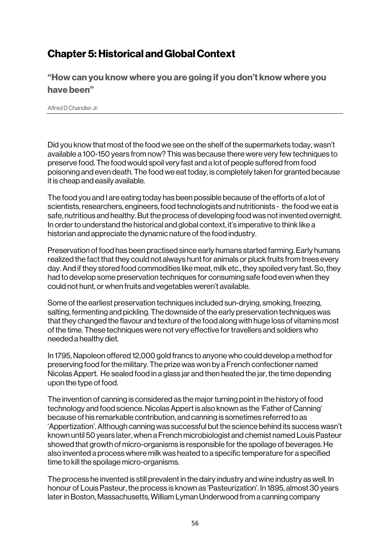## Chapter 5: Historical and Global Context

"How can you know where you are going if you don't know where you have been"

Alfred D Chandler Jr.

Did you know that most of the food we see on the shelf of the supermarkets today, wasn't available a 100-150 years from now? This was because there were very few techniques to preserve food. The food would spoil very fast and a lot of people suffered from food poisoning and even death. The food we eat today, is completely taken for granted because it is cheap and easily available.

The food you and I are eating today has been possible because of the efforts of a lot of scientists, researchers, engineers, food technologists and nutritionists - the food we eat is safe, nutritious and healthy. But the process of developing food was not invented overnight. In order to understand the historical and global context, it's imperative to think like a historian and appreciate the dynamic nature of the food industry.

Preservation of food has been practised since early humans started farming. Early humans realized the fact that they could not always hunt for animals or pluck fruits from trees every day. And if they stored food commodities like meat, milk etc., they spoiled very fast. So, they had to develop some preservation techniques for consuming safe food even when they could not hunt, or when fruits and vegetables weren't available.

Some of the earliest preservation techniques included sun-drying, smoking, freezing, salting, fermenting and pickling. The downside of the early preservation techniques was that they changed the flavour and texture of the food along with huge loss of vitamins most of the time. These techniques were not very effective for travellers and soldiers who needed a healthy diet.

In 1795, Napoleon offered 12,000 gold francs to anyone who could develop a method for preserving food for the military. The prize was won by a French confectioner named Nicolas Appert. He sealed food in a glass jar and then heated the jar, the time depending upon the type of food.

The invention of canning is considered as the major turning point in the history of food technology and food science. Nicolas Appert is also known as the 'Father of Canning' because of his remarkable contribution, and canning is sometimes referred to as 'Appertization'. Although canning was successful but the science behind its success wasn't known until 50 years later, when a French microbiologist and chemist named Louis Pasteur showed that growth of micro-organisms is responsible for the spoilage of beverages. He also invented a process where milk was heated to a specific temperature for a specified time to kill the spoilage micro-organisms.

The process he invented is still prevalent in the dairy industry and wine industry as well. In honour of Louis Pasteur, the process is known as 'Pasteurization'. In 1895, almost 30 years later in Boston, Massachusetts, William Lyman Underwood from a canning company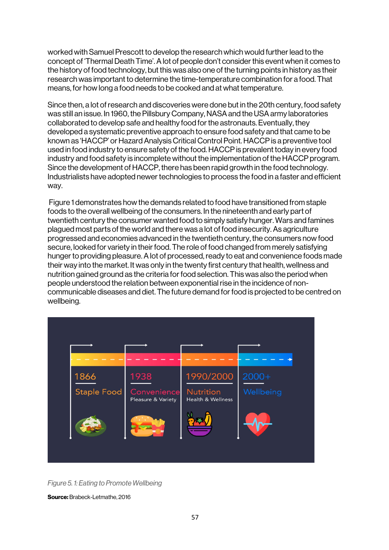worked with Samuel Prescott to develop the research which would further lead to the concept of 'Thermal Death Time'. A lot of people don't consider this event when it comes to the history of food technology, but this was also one of the turning points in history as their research was important to determine the time-temperature combination for a food. That means, for how long a food needs to be cooked and at what temperature.

Since then, a lot of research and discoveries were done but in the 20th century, food safety was still an issue. In 1960, the Pillsbury Company, NASA and the USA army laboratories collaborated to develop safe and healthy food for the astronauts. Eventually, they developed a systematic preventive approach to ensure food safety and that came to be known as 'HACCP' or Hazard Analysis Critical Control Point. HACCP is a preventive tool used in food industry to ensure safety of the food. HACCP is prevalent today in every food industry and food safety is incomplete without the implementation of the HACCP program. Since the development of HACCP, there has been rapid growth in the food technology. Industrialists have adopted newer technologies to process the food in a faster and efficient way.

Figure 1 demonstrates how the demands related to food have transitioned from staple foods to the overall wellbeing of the consumers. In the nineteenth and early part of twentieth century the consumer wanted food to simply satisfy hunger. Wars and famines plagued most parts of the world and there was a lot of food insecurity. As agriculture progressed and economies advanced in the twentieth century, the consumers now food secure, looked for variety in their food. The role of food changed from merely satisfying hunger to providing pleasure. A lot of processed, ready to eat and convenience foods made their way into the market. It was only in the twenty first century that health, wellness and nutrition gained ground as the criteria for food selection. This was also the period when people understood the relation between exponential rise in the incidence of noncommunicable diseases and diet. The future demand for food is projected to be centred on wellbeing.



*Figure 5. 1: Eating to Promote Wellbeing*

Source: Brabeck-Letmathe, 2016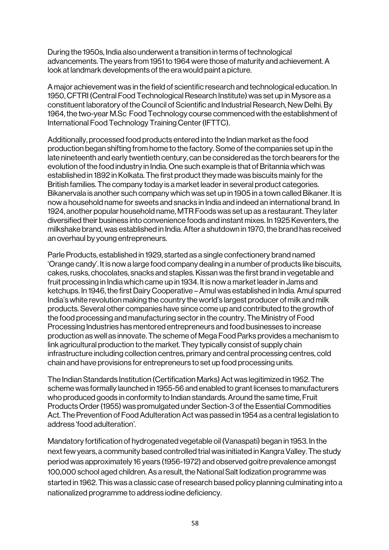During the 1950s, India also underwent a transition in terms of technological advancements. The years from 1951 to 1964 were those of maturity and achievement. A look at landmark developments of the era would paint a picture.

A major achievement was in the field of scientific research and technological education. In 1950, CFTRI (Central Food Technological Research Institute) was set up in Mysore as a constituent laboratory of the Council of Scientific and Industrial Research, New Delhi. By 1964, the two-year M.Sc Food Technology course commenced with the establishment of International Food Technology Training Center (IFTTC).

Additionally, processed food products entered into the Indian market as the food production began shifting from home to the factory. Some of the companies set up in the late nineteenth and early twentieth century, can be considered as the torch bearers for the evolution of the food industry in India. One such example is that of Britannia which was established in 1892 in Kolkata. The first product they made was biscuits mainly for the British families. The company today is a market leader in several product categories. Bikanervala is another such company which was set up in 1905 in a town called Bikaner. It is now a household name for sweets and snacks in India and indeed an international brand. In 1924, another popular household name, MTR Foods was set up as a restaurant. They later diversified their business into convenience foods and instant mixes. In 1925 Keventers, the milkshake brand, was established in India. After a shutdown in 1970, the brand has received an overhaul by young entrepreneurs.

Parle Products, established in 1929, started as a single confectionery brand named 'Orange candy'. It is now a large food company dealing in a number of products like biscuits, cakes, rusks, chocolates, snacks and staples. Kissan was the first brand in vegetable and fruit processing in India which came up in 1934. It is now a market leader in Jams and ketchups. In 1946, the first Dairy Cooperative –Amul was established in India. Amul spurred India's white revolution making the country the world's largest producer of milk and milk products. Several other companies have since come up and contributed to the growth of the food processing and manufacturing sector in the country. The Ministry of Food Processing Industries has mentored entrepreneurs and food businesses to increase production as well as innovate. The scheme of Mega Food Parks provides a mechanism to link agricultural production to the market. They typically consist of supply chain infrastructure including collection centres, primary and central processing centres, cold chain and have provisions for entrepreneurs to set up food processing units.

The Indian Standards Institution (Certification Marks) Act was legitimized in 1952. The scheme was formally launched in 1955-56 and enabled to grant licenses to manufacturers who produced goods in conformity to Indian standards. Around the same time, Fruit Products Order (1955) was promulgated under Section-3 of the Essential Commodities Act. The Prevention of Food Adulteration Act was passed in 1954 as a central legislation to address 'food adulteration'.

Mandatory fortification of hydrogenated vegetable oil (Vanaspati) began in 1953. In the next few years, a community based controlled trial was initiated in Kangra Valley. The study period was approximately 16 years (1956-1972) and observed goitre prevalence amongst 100,000 school aged children. As a result, the National Salt Iodization programme was started in 1962. This was a classic case of research based policy planning culminating into a nationalized programme to address iodine deficiency.